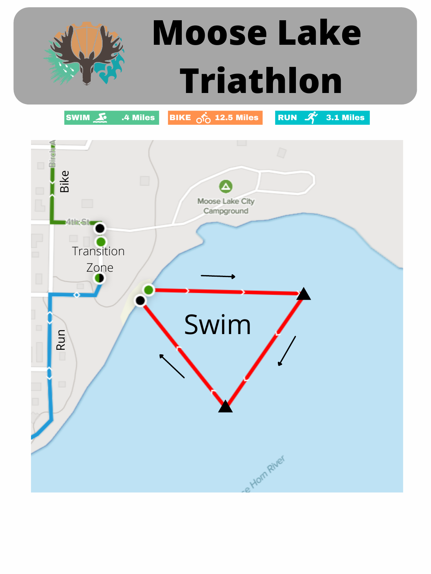



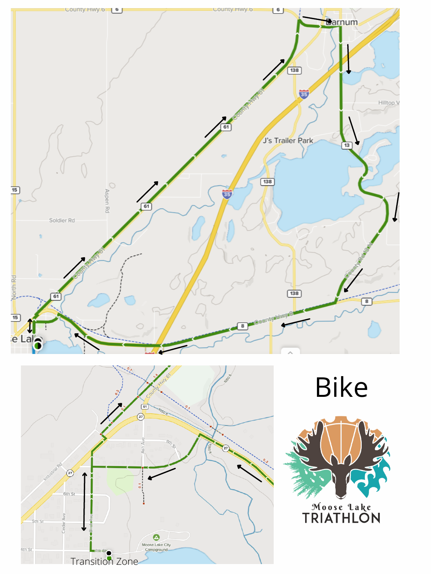

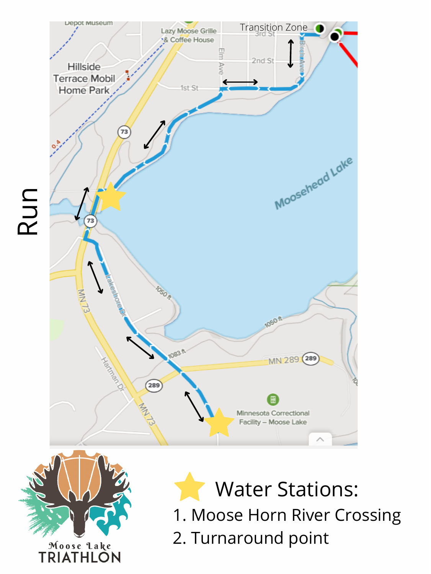

Moose Lake<br>TRIATHLON

Water Stations: 1. Moose Horn River Crossing 2. Turnaround point